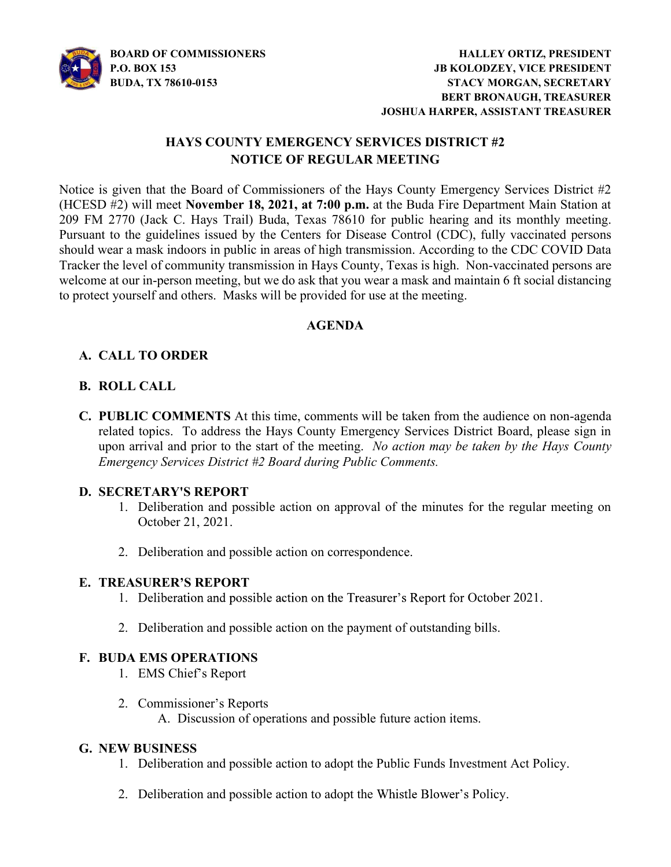

## HAYS COUNTY EMERGENCY SERVICES DISTRICT #2 NOTICE OF REGULAR MEETING

Notice is given that the Board of Commissioners of the Hays County Emergency Services District #2 (HCESD #2) will meet November 18, 2021, at 7:00 p.m. at the Buda Fire Department Main Station at 209 FM 2770 (Jack C. Hays Trail) Buda, Texas 78610 for public hearing and its monthly meeting. Pursuant to the guidelines issued by the Centers for Disease Control (CDC), fully vaccinated persons should wear a mask indoors in public in areas of high transmission. According to the CDC COVID Data Tracker the level of community transmission in Hays County, Texas is high. Non-vaccinated persons are welcome at our in-person meeting, but we do ask that you wear a mask and maintain 6 ft social distancing to protect yourself and others. Masks will be provided for use at the meeting.

## AGENDA

# A. CALL TO ORDER

## B. ROLL CALL

C. PUBLIC COMMENTS At this time, comments will be taken from the audience on non-agenda related topics. To address the Hays County Emergency Services District Board, please sign in upon arrival and prior to the start of the meeting. No action may be taken by the Hays County Emergency Services District #2 Board during Public Comments.

## D. SECRETARY'S REPORT

- 1. Deliberation and possible action on approval of the minutes for the regular meeting on October 21, 2021.
- 2. Deliberation and possible action on correspondence.

## E. TREASURER'S REPORT

- 1. Deliberation and possible action on the Treasurer's Report for October 2021.
- 2. Deliberation and possible action on the payment of outstanding bills.

### F. BUDA EMS OPERATIONS

- 1. EMS Chief s Report
- 2. Commissioner's Reports A. Discussion of operations and possible future action items.

### G. NEW BUSINESS

- 1. Deliberation and possible action to adopt the Public Funds Investment Act Policy.
- 2. Deliberation and possible action to adopt the Whistle Blower's Policy.